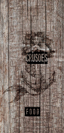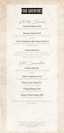# Food Adventures

At the Shores

Smoked Salmon \$18 *Avocado Puree | Capers | Sour Creme | Brown Bread*

## Shrimp Cocktail \$18

*Shrimps | Quail Egg | Iceberg Lettuce | Lemon Zest | Paprika | Brandy*

#### Fresh Vietnamese Rice Paper Roll \$16

*Rice Paper | Prawn | Lettuce | Carrot | Cucumber | Mint Leaves | Vermicelli Noodle*

#### Greek Salad \$16

*Cucumber | Tomato | Green Capsicum | Red Onions | Kalamata Olives | Dried Oregano | Olive Oil | Feta Cheese | Red Wine Vinegar | Green Leaf*

Hot Sensation

Panini Club \$25 *Grilled Chicken Breast | Crispy Bacon | Lettuce | Tomato | Avocado* 

#### Panini Vegetarian \$18

*Marinated Grilled Vegetables | Pesto | Lemon Thyme*

## Panini Tuna Tataki \$21

*Scented with Lemon Pepper*

#### Chicken Burger \$28

*Green Salad | Homemade Coleslaw*

#### Wagyu Cheese Burger \$40

*Green Salad | Homemade Coleslaw*

*All Panini and Burgers Come with Your Choice of French Fries or Potato Wedges*

> All prices are in USD and subject to 10% service charge & 12% TGST (Tourism Goods & Services Tax). 所有价格均为美元,需加收10%的服务费和12%的TGST (旅游商品及服务税)。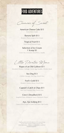# Food Adventures

Chances of Sweet

American Cheese Cake \$15 *Forest Berry Coulis*

Banana Split \$13 *Banana | Three scoops of Ice Cream*

> Tropical Fruit \$13 *Fresh Sliced Seasonal Fruits*

Selection of Ice Cream 1 Scoop \$3 *Green Tea | Coconut | Strawberry | Vanilla*

Little Pirates Menu

Ropes of an Old Galleon \$11 *Shredded Chicken, Cabbage, Carrot, Egg Noodles, Chicken Stock* 

> Sea Dog \$13 *Chicken Sausage, Hot Dog, French Fries*

Fool's Gold \$13 *Breaded Chicken Breast, French Fries*

### Captain's Catch & Chips \$11

*Reef Fish Crumbed Fillet, French Fries*

Crew's Dreadlock \$15 *Spaghetti Pasta, Bolognese Sauce, Parmesan Cheese* 

### Aye, Aye Iceberg \$13

*Choice of Ice Cream & Giant Chocolate Chip Cookie* 

All prices are in USD and subject to 10% service charge & 12% TGST (Tourism Goods & Services Tax). 所有价格均为美元,需加收10%的服务费和12%的TGST (旅游商品及服务税)。